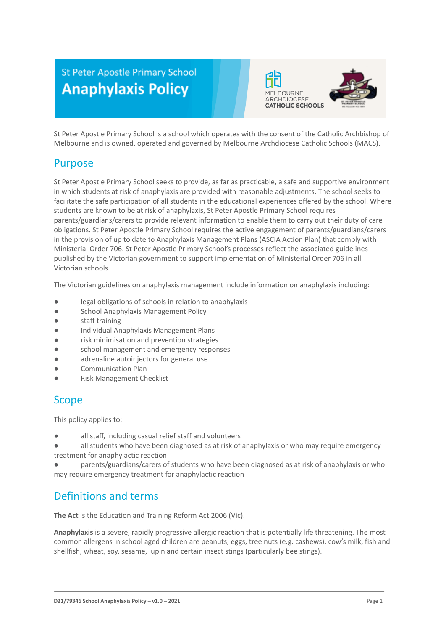# **St Peter Apostle Primary School Anaphylaxis Policy**



St Peter Apostle Primary School is a school which operates with the consent of the Catholic Archbishop of Melbourne and is owned, operated and governed by Melbourne Archdiocese Catholic Schools (MACS).

## Purpose

St Peter Apostle Primary School seeks to provide, as far as practicable, a safe and supportive environment in which students at risk of anaphylaxis are provided with reasonable adjustments. The school seeks to facilitate the safe participation of all students in the educational experiences offered by the school. Where students are known to be at risk of anaphylaxis, St Peter Apostle Primary School requires parents/guardians/carers to provide relevant information to enable them to carry out their duty of care obligations. St Peter Apostle Primary School requires the active engagement of parents/guardians/carers in the provision of up to date to Anaphylaxis Management Plans (ASCIA Action Plan) that comply with Ministerial Order 706. St Peter Apostle Primary School's processes reflect the associated guidelines published by the Victorian government to support implementation of Ministerial Order 706 in all Victorian schools.

The Victorian guidelines on anaphylaxis management include information on anaphylaxis including:

- legal obligations of schools in relation to anaphylaxis
- School Anaphylaxis Management Policy
- staff training
- Individual Anaphylaxis Management Plans
- risk minimisation and prevention strategies
- school management and emergency responses
- adrenaline autoinjectors for general use
- Communication Plan
- **Risk Management Checklist**

## Scope

This policy applies to:

- all staff, including casual relief staff and volunteers
- all students who have been diagnosed as at risk of anaphylaxis or who may require emergency treatment for anaphylactic reaction

parents/guardians/carers of students who have been diagnosed as at risk of anaphylaxis or who may require emergency treatment for anaphylactic reaction

## Definitions and terms

**The Act** is the Education and Training Reform Act 2006 (Vic).

**Anaphylaxis** is a severe, rapidly progressive allergic reaction that is potentially life threatening. The most common allergens in school aged children are peanuts, eggs, tree nuts (e.g. cashews), cow's milk, fish and shellfish, wheat, soy, sesame, lupin and certain insect stings (particularly bee stings).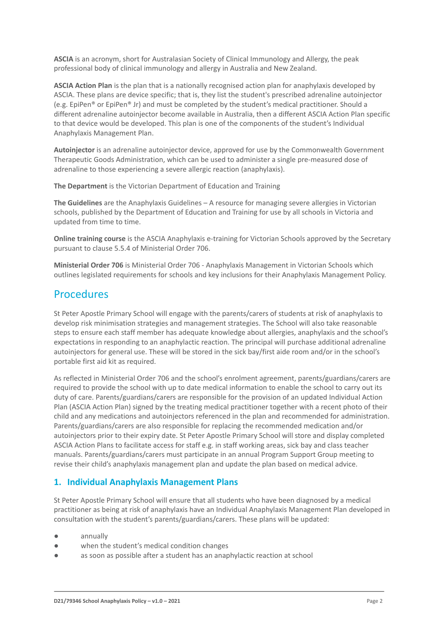**ASCIA** is an acronym, short for Australasian Society of Clinical Immunology and Allergy, the peak professional body of clinical immunology and allergy in Australia and New Zealand.

**ASCIA Action Plan** is the plan that is a nationally recognised action plan for anaphylaxis developed by ASCIA. These plans are device specific; that is, they list the student's prescribed adrenaline autoinjector (e.g. EpiPen® or EpiPen® Jr) and must be completed by the student's medical practitioner. Should a different adrenaline autoinjector become available in Australia, then a different ASCIA Action Plan specific to that device would be developed. This plan is one of the components of the student's Individual Anaphylaxis Management Plan.

**Autoinjector** is an adrenaline autoinjector device, approved for use by the Commonwealth Government Therapeutic Goods Administration, which can be used to administer a single pre-measured dose of adrenaline to those experiencing a severe allergic reaction (anaphylaxis).

**The Department** is the Victorian Department of Education and Training

**The Guidelines** are the Anaphylaxis Guidelines – A resource for managing severe allergies in Victorian schools, published by the Department of Education and Training for use by all schools in Victoria and updated from time to time.

**Online training course** is the ASCIA Anaphylaxis e-training for Victorian Schools approved by the Secretary pursuant to clause 5.5.4 of Ministerial Order 706.

**Ministerial Order 706** is Ministerial Order 706 - Anaphylaxis Management in Victorian Schools which outlines legislated requirements for schools and key inclusions for their Anaphylaxis Management Policy.

## Procedures

St Peter Apostle Primary School will engage with the parents/carers of students at risk of anaphylaxis to develop risk minimisation strategies and management strategies. The School will also take reasonable steps to ensure each staff member has adequate knowledge about allergies, anaphylaxis and the school's expectations in responding to an anaphylactic reaction. The principal will purchase additional adrenaline autoinjectors for general use. These will be stored in the sick bay/first aide room and/or in the school's portable first aid kit as required.

As reflected in Ministerial Order 706 and the school's enrolment agreement, parents/guardians/carers are required to provide the school with up to date medical information to enable the school to carry out its duty of care. Parents/guardians/carers are responsible for the provision of an updated Individual Action Plan (ASCIA Action Plan) signed by the treating medical practitioner together with a recent photo of their child and any medications and autoinjectors referenced in the plan and recommended for administration. Parents/guardians/carers are also responsible for replacing the recommended medication and/or autoinjectors prior to their expiry date. St Peter Apostle Primary School will store and display completed ASCIA Action Plans to facilitate access for staff e.g. in staff working areas, sick bay and class teacher manuals. Parents/guardians/carers must participate in an annual Program Support Group meeting to revise their child's anaphylaxis management plan and update the plan based on medical advice.

## **1. Individual Anaphylaxis Management Plans**

St Peter Apostle Primary School will ensure that all students who have been diagnosed by a medical practitioner as being at risk of anaphylaxis have an Individual Anaphylaxis Management Plan developed in consultation with the student's parents/guardians/carers. These plans will be updated:

- annually
- when the student's medical condition changes
- as soon as possible after a student has an anaphylactic reaction at school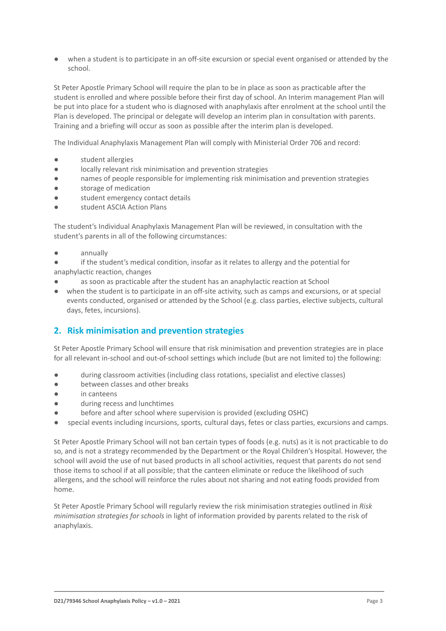when a student is to participate in an off-site excursion or special event organised or attended by the school.

St Peter Apostle Primary School will require the plan to be in place as soon as practicable after the student is enrolled and where possible before their first day of school. An Interim management Plan will be put into place for a student who is diagnosed with anaphylaxis after enrolment at the school until the Plan is developed. The principal or delegate will develop an interim plan in consultation with parents. Training and a briefing will occur as soon as possible after the interim plan is developed.

The Individual Anaphylaxis Management Plan will comply with Ministerial Order 706 and record:

- student allergies
- locally relevant risk minimisation and prevention strategies
- names of people responsible for implementing risk minimisation and prevention strategies
- storage of medication
- student emergency contact details
- student ASCIA Action Plans

The student's Individual Anaphylaxis Management Plan will be reviewed, in consultation with the student's parents in all of the following circumstances:

- annually
- if the student's medical condition, insofar as it relates to allergy and the potential for anaphylactic reaction, changes
- as soon as practicable after the student has an anaphylactic reaction at School
- when the student is to participate in an off-site activity, such as camps and excursions, or at special events conducted, organised or attended by the School (e.g. class parties, elective subjects, cultural days, fetes, incursions).

## **2. Risk minimisation and prevention strategies**

St Peter Apostle Primary School will ensure that risk minimisation and prevention strategies are in place for all relevant in-school and out-of-school settings which include (but are not limited to) the following:

- during classroom activities (including class rotations, specialist and elective classes)
- between classes and other breaks
- in canteens
- during recess and lunchtimes
- before and after school where supervision is provided (excluding OSHC)
- special events including incursions, sports, cultural days, fetes or class parties, excursions and camps.

St Peter Apostle Primary School will not ban certain types of foods (e.g. nuts) as it is not practicable to do so, and is not a strategy recommended by the Department or the Royal Children's Hospital. However, the school will avoid the use of nut based products in all school activities, request that parents do not send those items to school if at all possible; that the canteen eliminate or reduce the likelihood of such allergens, and the school will reinforce the rules about not sharing and not eating foods provided from home.

St Peter Apostle Primary School will regularly review the risk minimisation strategies outlined in *Risk minimisation strategies for schools* in light of information provided by parents related to the risk of anaphylaxis.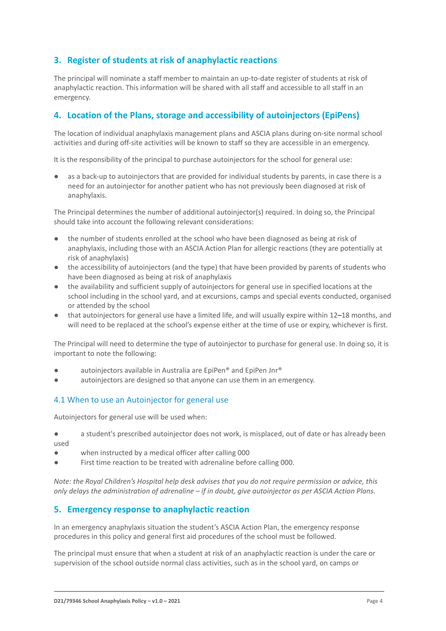### **3. Register of students at risk of anaphylactic reactions**

The principal will nominate a staff member to maintain an up-to-date register of students at risk of anaphylactic reaction. This information will be shared with all staff and accessible to all staff in an emergency.

### **4. Location of the Plans, storage and accessibility of autoinjectors (EpiPens)**

The location of individual anaphylaxis management plans and ASCIA plans during on-site normal school activities and during off-site activities will be known to staff so they are accessible in an emergency.

It is the responsibility of the principal to purchase autoinjectors for the school for general use:

as a back-up to autoinjectors that are provided for individual students by parents, in case there is a need for an autoinjector for another patient who has not previously been diagnosed at risk of anaphylaxis.

The Principal determines the number of additional autoinjector(s) required. In doing so, the Principal should take into account the following relevant considerations:

- the number of students enrolled at the school who have been diagnosed as being at risk of anaphylaxis, including those with an ASCIA Action Plan for allergic reactions (they are potentially at risk of anaphylaxis)
- the accessibility of autoinjectors (and the type) that have been provided by parents of students who have been diagnosed as being at risk of anaphylaxis
- the availability and sufficient supply of autoinjectors for general use in specified locations at the school including in the school yard, and at excursions, camps and special events conducted, organised or attended by the school
- that autoinjectors for general use have a limited life, and will usually expire within 12–18 months, and will need to be replaced at the school's expense either at the time of use or expiry, whichever is first.

The Principal will need to determine the type of autoinjector to purchase for general use. In doing so, it is important to note the following:

- autoinjectors available in Australia are EpiPen® and EpiPen Jnr®
- autoinjectors are designed so that anyone can use them in an emergency.

#### 4.1 When to use an Autoinjector for general use

Autoinjectors for general use will be used when:

- a student's prescribed autoinjector does not work, is misplaced, out of date or has already been used
- when instructed by a medical officer after calling 000
- First time reaction to be treated with adrenaline before calling 000.

*Note: the Royal Children's Hospital help desk advises that you do not require permission or advice, this only delays the administration of adrenaline – if in doubt, give autoinjector as per ASCIA Action Plans.*

#### **5. Emergency response to anaphylactic reaction**

In an emergency anaphylaxis situation the student's ASCIA Action Plan, the emergency response procedures in this policy and general first aid procedures of the school must be followed.

The principal must ensure that when a student at risk of an anaphylactic reaction is under the care or supervision of the school outside normal class activities, such as in the school yard, on camps or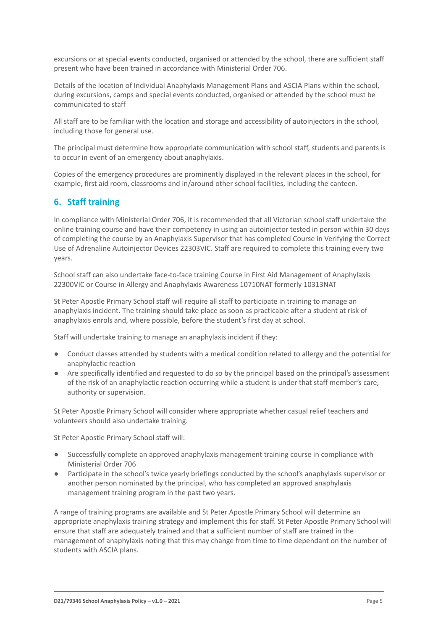excursions or at special events conducted, organised or attended by the school, there are sufficient staff present who have been trained in accordance with Ministerial Order 706.

Details of the location of Individual Anaphylaxis Management Plans and ASCIA Plans within the school, during excursions, camps and special events conducted, organised or attended by the school must be communicated to staff

All staff are to be familiar with the location and storage and accessibility of autoinjectors in the school, including those for general use.

The principal must determine how appropriate communication with school staff, students and parents is to occur in event of an emergency about anaphylaxis.

Copies of the emergency procedures are prominently displayed in the relevant places in the school, for example, first aid room, classrooms and in/around other school facilities, including the canteen.

### **6. Staff training**

In compliance with Ministerial Order 706, it is recommended that all Victorian school staff undertake the online training course and have their competency in using an autoinjector tested in person within 30 days of completing the course by an Anaphylaxis Supervisor that has completed Course in Verifying the Correct Use of Adrenaline Autoinjector Devices 22303VIC. Staff are required to complete this training every two years.

School staff can also undertake face-to-face training Course in First Aid Management of Anaphylaxis 22300VIC or Course in Allergy and Anaphylaxis Awareness 10710NAT formerly 10313NAT

St Peter Apostle Primary School staff will require all staff to participate in training to manage an anaphylaxis incident. The training should take place as soon as practicable after a student at risk of anaphylaxis enrols and, where possible, before the student's first day at school.

Staff will undertake training to manage an anaphylaxis incident if they:

- Conduct classes attended by students with a medical condition related to allergy and the potential for anaphylactic reaction
- Are specifically identified and requested to do so by the principal based on the principal's assessment of the risk of an anaphylactic reaction occurring while a student is under that staff member's care, authority or supervision.

St Peter Apostle Primary School will consider where appropriate whether casual relief teachers and volunteers should also undertake training.

St Peter Apostle Primary School staff will:

- Successfully complete an approved anaphylaxis management training course in compliance with Ministerial Order 706
- Participate in the school's twice yearly briefings conducted by the school's anaphylaxis supervisor or another person nominated by the principal, who has completed an approved anaphylaxis management training program in the past two years.

A range of training programs are available and St Peter Apostle Primary School will determine an appropriate anaphylaxis training strategy and implement this for staff. St Peter Apostle Primary School will ensure that staff are adequately trained and that a sufficient number of staff are trained in the management of anaphylaxis noting that this may change from time to time dependant on the number of students with ASCIA plans.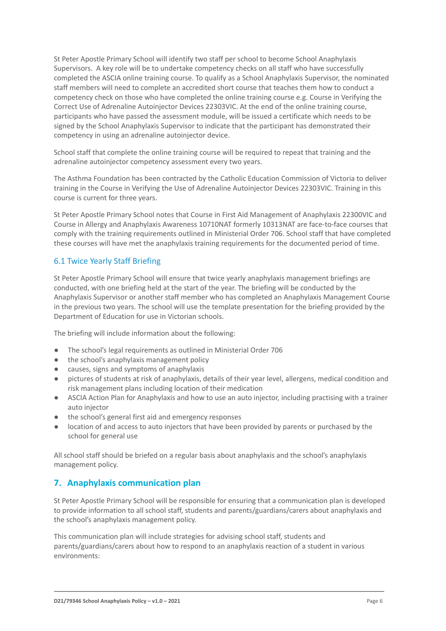St Peter Apostle Primary School will identify two staff per school to become School Anaphylaxis Supervisors. A key role will be to undertake competency checks on all staff who have successfully completed the ASCIA online training course. To qualify as a School Anaphylaxis Supervisor, the nominated staff members will need to complete an accredited short course that teaches them how to conduct a competency check on those who have completed the online training course e.g. Course in Verifying the Correct Use of Adrenaline Autoinjector Devices 22303VIC. At the end of the online training course, participants who have passed the assessment module, will be issued a certificate which needs to be signed by the School Anaphylaxis Supervisor to indicate that the participant has demonstrated their competency in using an adrenaline autoinjector device.

School staff that complete the online training course will be required to repeat that training and the adrenaline autoinjector competency assessment every two years.

The Asthma Foundation has been contracted by the Catholic Education Commission of Victoria to deliver training in the Course in Verifying the Use of Adrenaline Autoinjector Devices 22303VIC. Training in this course is current for three years.

St Peter Apostle Primary School notes that Course in First Aid Management of Anaphylaxis 22300VIC and Course in Allergy and Anaphylaxis Awareness 10710NAT formerly 10313NAT are face-to-face courses that comply with the training requirements outlined in Ministerial Order 706. School staff that have completed these courses will have met the anaphylaxis training requirements for the documented period of time.

#### 6.1 Twice Yearly Staff Briefing

St Peter Apostle Primary School will ensure that twice yearly anaphylaxis management briefings are conducted, with one briefing held at the start of the year. The briefing will be conducted by the Anaphylaxis Supervisor or another staff member who has completed an Anaphylaxis Management Course in the previous two years. The school will use the template presentation for the briefing provided by the Department of Education for use in Victorian schools.

The briefing will include information about the following:

- The school's legal requirements as outlined in Ministerial Order 706
- the school's anaphylaxis management policy
- causes, signs and symptoms of anaphylaxis
- pictures of students at risk of anaphylaxis, details of their year level, allergens, medical condition and risk management plans including location of their medication
- ASCIA Action Plan for Anaphylaxis and how to use an auto injector, including practising with a trainer auto injector
- the school's general first aid and emergency responses
- location of and access to auto injectors that have been provided by parents or purchased by the school for general use

All school staff should be briefed on a regular basis about anaphylaxis and the school's anaphylaxis management policy.

### **7. Anaphylaxis communication plan**

St Peter Apostle Primary School will be responsible for ensuring that a communication plan is developed to provide information to all school staff, students and parents/guardians/carers about anaphylaxis and the school's anaphylaxis management policy.

This communication plan will include strategies for advising school staff, students and parents/guardians/carers about how to respond to an anaphylaxis reaction of a student in various environments: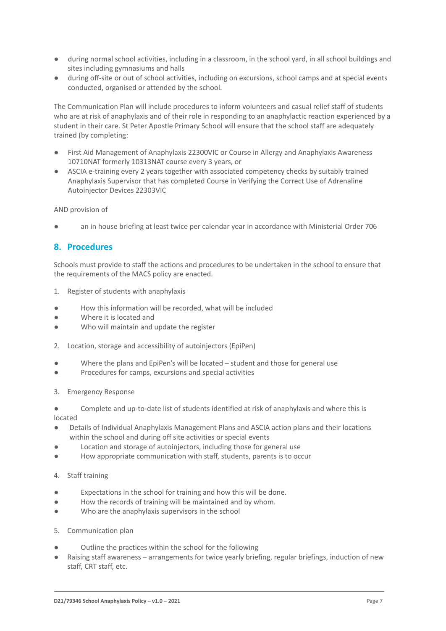- during normal school activities, including in a classroom, in the school yard, in all school buildings and sites including gymnasiums and halls
- during off-site or out of school activities, including on excursions, school camps and at special events conducted, organised or attended by the school.

The Communication Plan will include procedures to inform volunteers and casual relief staff of students who are at risk of anaphylaxis and of their role in responding to an anaphylactic reaction experienced by a student in their care. St Peter Apostle Primary School will ensure that the school staff are adequately trained (by completing:

- First Aid Management of Anaphylaxis 22300VIC or Course in Allergy and Anaphylaxis Awareness 10710NAT formerly 10313NAT course every 3 years, or
- ASCIA e-training every 2 years together with associated competency checks by suitably trained Anaphylaxis Supervisor that has completed Course in Verifying the Correct Use of Adrenaline Autoinjector Devices 22303VIC

AND provision of

an in house briefing at least twice per calendar year in accordance with Ministerial Order 706

### **8. Procedures**

Schools must provide to staff the actions and procedures to be undertaken in the school to ensure that the requirements of the MACS policy are enacted.

- 1. Register of students with anaphylaxis
- How this information will be recorded, what will be included
- Where it is located and
- Who will maintain and update the register
- 2. Location, storage and accessibility of autoinjectors (EpiPen)
- Where the plans and EpiPen's will be located  $-$  student and those for general use
- Procedures for camps, excursions and special activities
- 3. Emergency Response
- Complete and up-to-date list of students identified at risk of anaphylaxis and where this is located
- Details of Individual Anaphylaxis Management Plans and ASCIA action plans and their locations within the school and during off site activities or special events
- Location and storage of autoinjectors, including those for general use
- How appropriate communication with staff, students, parents is to occur
- 4. Staff training
- Expectations in the school for training and how this will be done.
- How the records of training will be maintained and by whom.
- Who are the anaphylaxis supervisors in the school
- 5. Communication plan
- Outline the practices within the school for the following
- Raising staff awareness arrangements for twice yearly briefing, regular briefings, induction of new staff, CRT staff, etc.